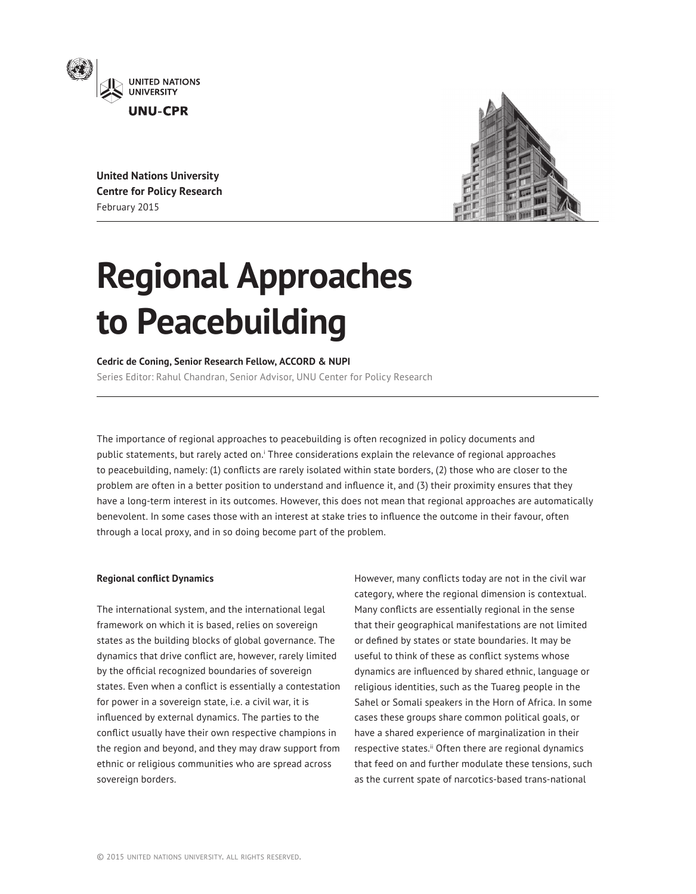

**United Nations University Centre for Policy Research** February 2015



# **Regional Approaches to Peacebuilding**

### **Cedric de Coning, Senior Research Fellow, ACCORD & NUPI**

Series Editor: Rahul Chandran, Senior Advisor, UNU Center for Policy Research

The importance of regional approaches to peacebuilding is often recognized in policy documents and public statements, but rarely acted on.<sup>i</sup> Three considerations explain the relevance of regional approaches to peacebuilding, namely: (1) conflicts are rarely isolated within state borders, (2) those who are closer to the problem are often in a better position to understand and influence it, and (3) their proximity ensures that they have a long-term interest in its outcomes. However, this does not mean that regional approaches are automatically benevolent. In some cases those with an interest at stake tries to influence the outcome in their favour, often through a local proxy, and in so doing become part of the problem.

### **Regional conflict Dynamics**

The international system, and the international legal framework on which it is based, relies on sovereign states as the building blocks of global governance. The dynamics that drive conflict are, however, rarely limited by the official recognized boundaries of sovereign states. Even when a conflict is essentially a contestation for power in a sovereign state, i.e. a civil war, it is influenced by external dynamics. The parties to the conflict usually have their own respective champions in the region and beyond, and they may draw support from ethnic or religious communities who are spread across sovereign borders.

However, many conflicts today are not in the civil war category, where the regional dimension is contextual. Many conflicts are essentially regional in the sense that their geographical manifestations are not limited or defined by states or state boundaries. It may be useful to think of these as conflict systems whose dynamics are influenced by shared ethnic, language or religious identities, such as the Tuareg people in the Sahel or Somali speakers in the Horn of Africa. In some cases these groups share common political goals, or have a shared experience of marginalization in their respective states.<sup>ii</sup> Often there are regional dynamics that feed on and further modulate these tensions, such as the current spate of narcotics-based trans-national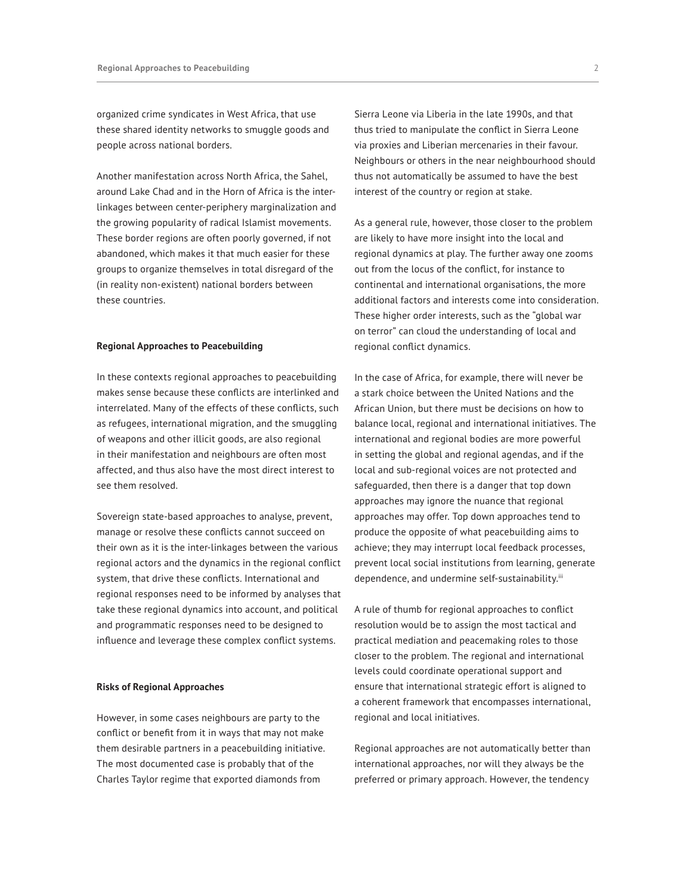organized crime syndicates in West Africa, that use these shared identity networks to smuggle goods and people across national borders.

Another manifestation across North Africa, the Sahel, around Lake Chad and in the Horn of Africa is the interlinkages between center-periphery marginalization and the growing popularity of radical Islamist movements. These border regions are often poorly governed, if not abandoned, which makes it that much easier for these groups to organize themselves in total disregard of the (in reality non-existent) national borders between these countries.

## **Regional Approaches to Peacebuilding**

In these contexts regional approaches to peacebuilding makes sense because these conflicts are interlinked and interrelated. Many of the effects of these conflicts, such as refugees, international migration, and the smuggling of weapons and other illicit goods, are also regional in their manifestation and neighbours are often most affected, and thus also have the most direct interest to see them resolved.

Sovereign state-based approaches to analyse, prevent, manage or resolve these conflicts cannot succeed on their own as it is the inter-linkages between the various regional actors and the dynamics in the regional conflict system, that drive these conflicts. International and regional responses need to be informed by analyses that take these regional dynamics into account, and political and programmatic responses need to be designed to influence and leverage these complex conflict systems.

#### **Risks of Regional Approaches**

However, in some cases neighbours are party to the conflict or benefit from it in ways that may not make them desirable partners in a peacebuilding initiative. The most documented case is probably that of the Charles Taylor regime that exported diamonds from

Sierra Leone via Liberia in the late 1990s, and that thus tried to manipulate the conflict in Sierra Leone via proxies and Liberian mercenaries in their favour. Neighbours or others in the near neighbourhood should thus not automatically be assumed to have the best interest of the country or region at stake.

As a general rule, however, those closer to the problem are likely to have more insight into the local and regional dynamics at play. The further away one zooms out from the locus of the conflict, for instance to continental and international organisations, the more additional factors and interests come into consideration. These higher order interests, such as the "global war on terror" can cloud the understanding of local and regional conflict dynamics.

In the case of Africa, for example, there will never be a stark choice between the United Nations and the African Union, but there must be decisions on how to balance local, regional and international initiatives. The international and regional bodies are more powerful in setting the global and regional agendas, and if the local and sub-regional voices are not protected and safeguarded, then there is a danger that top down approaches may ignore the nuance that regional approaches may offer. Top down approaches tend to produce the opposite of what peacebuilding aims to achieve; they may interrupt local feedback processes, prevent local social institutions from learning, generate dependence, and undermine self-sustainability.iii

A rule of thumb for regional approaches to conflict resolution would be to assign the most tactical and practical mediation and peacemaking roles to those closer to the problem. The regional and international levels could coordinate operational support and ensure that international strategic effort is aligned to a coherent framework that encompasses international, regional and local initiatives.

Regional approaches are not automatically better than international approaches, nor will they always be the preferred or primary approach. However, the tendency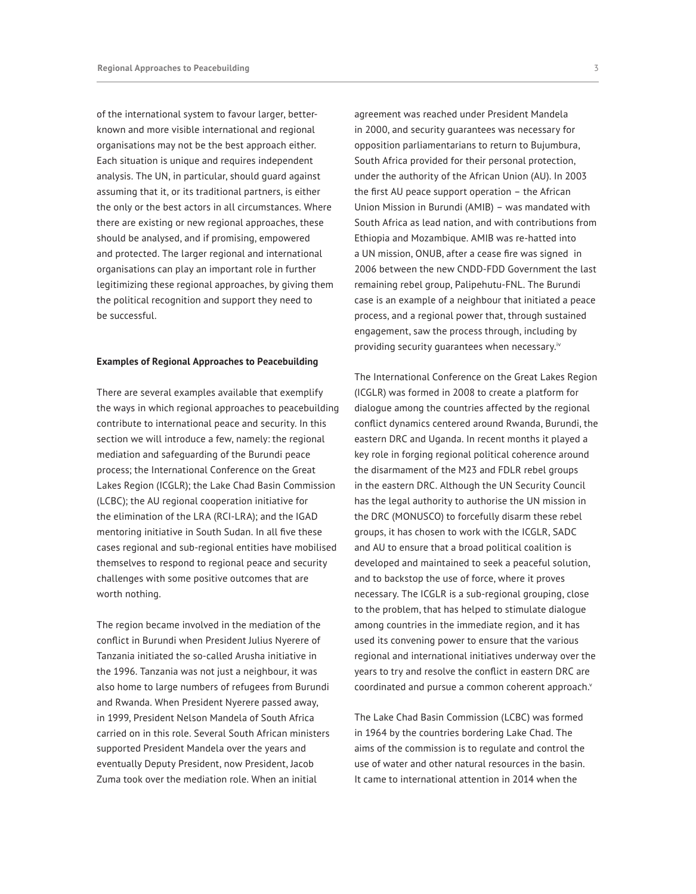of the international system to favour larger, betterknown and more visible international and regional organisations may not be the best approach either. Each situation is unique and requires independent analysis. The UN, in particular, should guard against assuming that it, or its traditional partners, is either the only or the best actors in all circumstances. Where there are existing or new regional approaches, these should be analysed, and if promising, empowered and protected. The larger regional and international organisations can play an important role in further legitimizing these regional approaches, by giving them the political recognition and support they need to be successful.

#### **Examples of Regional Approaches to Peacebuilding**

There are several examples available that exemplify the ways in which regional approaches to peacebuilding contribute to international peace and security. In this section we will introduce a few, namely: the regional mediation and safeguarding of the Burundi peace process; the International Conference on the Great Lakes Region (ICGLR); the Lake Chad Basin Commission (LCBC); the AU regional cooperation initiative for the elimination of the LRA (RCI-LRA); and the IGAD mentoring initiative in South Sudan. In all five these cases regional and sub-regional entities have mobilised themselves to respond to regional peace and security challenges with some positive outcomes that are worth nothing.

The region became involved in the mediation of the conflict in Burundi when President Julius Nyerere of Tanzania initiated the so-called Arusha initiative in the 1996. Tanzania was not just a neighbour, it was also home to large numbers of refugees from Burundi and Rwanda. When President Nyerere passed away, in 1999, President Nelson Mandela of South Africa carried on in this role. Several South African ministers supported President Mandela over the years and eventually Deputy President, now President, Jacob Zuma took over the mediation role. When an initial

agreement was reached under President Mandela in 2000, and security guarantees was necessary for opposition parliamentarians to return to Bujumbura, South Africa provided for their personal protection, under the authority of the African Union (AU). In 2003 the first AU peace support operation – the African Union Mission in Burundi (AMIB) – was mandated with South Africa as lead nation, and with contributions from Ethiopia and Mozambique. AMIB was re-hatted into a UN mission, ONUB, after a cease fire was signed in 2006 between the new CNDD-FDD Government the last remaining rebel group, Palipehutu-FNL. The Burundi case is an example of a neighbour that initiated a peace process, and a regional power that, through sustained engagement, saw the process through, including by providing security guarantees when necessary.<sup>iv</sup>

The International Conference on the Great Lakes Region (ICGLR) was formed in 2008 to create a platform for dialogue among the countries affected by the regional conflict dynamics centered around Rwanda, Burundi, the eastern DRC and Uganda. In recent months it played a key role in forging regional political coherence around the disarmament of the M23 and FDLR rebel groups in the eastern DRC. Although the UN Security Council has the legal authority to authorise the UN mission in the DRC (MONUSCO) to forcefully disarm these rebel groups, it has chosen to work with the ICGLR, SADC and AU to ensure that a broad political coalition is developed and maintained to seek a peaceful solution, and to backstop the use of force, where it proves necessary. The ICGLR is a sub-regional grouping, close to the problem, that has helped to stimulate dialogue among countries in the immediate region, and it has used its convening power to ensure that the various regional and international initiatives underway over the years to try and resolve the conflict in eastern DRC are coordinated and pursue a common coherent approach.<sup>v</sup>

The Lake Chad Basin Commission (LCBC) was formed in 1964 by the countries bordering Lake Chad. The aims of the commission is to regulate and control the use of water and other natural resources in the basin. It came to international attention in 2014 when the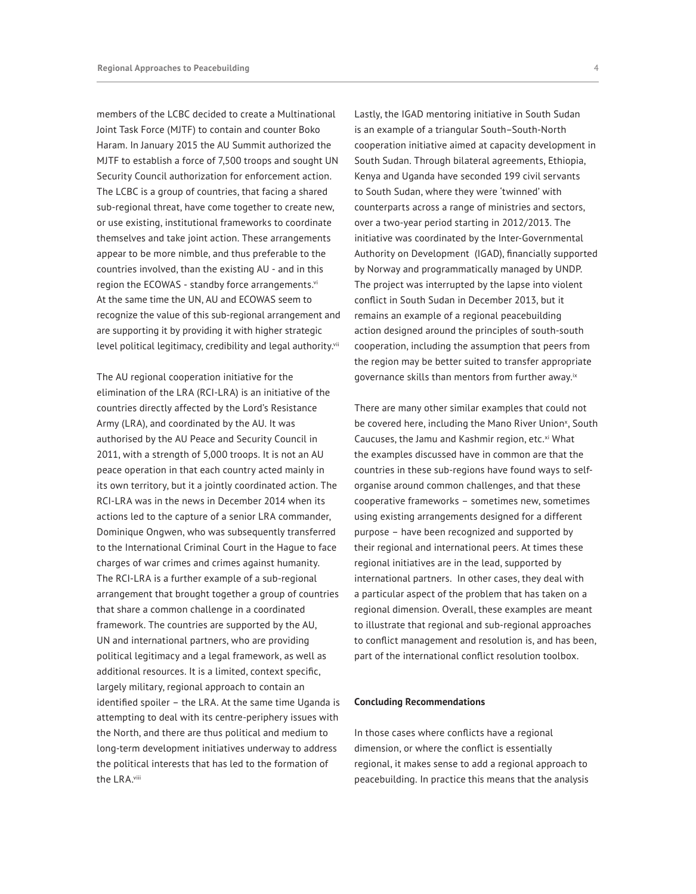members of the LCBC decided to create a Multinational Joint Task Force (MJTF) to contain and counter Boko Haram. In January 2015 the AU Summit authorized the MJTF to establish a force of 7,500 troops and sought UN Security Council authorization for enforcement action. The LCBC is a group of countries, that facing a shared sub-regional threat, have come together to create new, or use existing, institutional frameworks to coordinate themselves and take joint action. These arrangements appear to be more nimble, and thus preferable to the countries involved, than the existing AU - and in this region the ECOWAS - standby force arrangements.vi At the same time the UN, AU and ECOWAS seem to recognize the value of this sub-regional arrangement and are supporting it by providing it with higher strategic level political legitimacy, credibility and legal authority.<sup>vii</sup>

The AU regional cooperation initiative for the elimination of the LRA (RCI-LRA) is an initiative of the countries directly affected by the Lord's Resistance Army (LRA), and coordinated by the AU. It was authorised by the AU Peace and Security Council in 2011, with a strength of 5,000 troops. It is not an AU peace operation in that each country acted mainly in its own territory, but it a jointly coordinated action. The RCI-LRA was in the news in December 2014 when its actions led to the capture of a senior LRA commander, Dominique Ongwen, who was subsequently transferred to the International Criminal Court in the Hague to face charges of war crimes and crimes against humanity. The RCI-LRA is a further example of a sub-regional arrangement that brought together a group of countries that share a common challenge in a coordinated framework. The countries are supported by the AU, UN and international partners, who are providing political legitimacy and a legal framework, as well as additional resources. It is a limited, context specific, largely military, regional approach to contain an identified spoiler – the LRA. At the same time Uganda is attempting to deal with its centre-periphery issues with the North, and there are thus political and medium to long-term development initiatives underway to address the political interests that has led to the formation of the LRA.viii

Lastly, the IGAD mentoring initiative in South Sudan is an example of a triangular South–South-North cooperation initiative aimed at capacity development in South Sudan. Through bilateral agreements, Ethiopia, Kenya and Uganda have seconded 199 civil servants to South Sudan, where they were 'twinned' with counterparts across a range of ministries and sectors, over a two-year period starting in 2012/2013. The initiative was coordinated by the Inter-Governmental Authority on Development (IGAD), financially supported by Norway and programmatically managed by UNDP. The project was interrupted by the lapse into violent conflict in South Sudan in December 2013, but it remains an example of a regional peacebuilding action designed around the principles of south-south cooperation, including the assumption that peers from the region may be better suited to transfer appropriate governance skills than mentors from further away.ix

There are many other similar examples that could not be covered here, including the Mano River Union<sup>x</sup>, South Caucuses, the Jamu and Kashmir region, etc.<sup>xi</sup> What the examples discussed have in common are that the countries in these sub-regions have found ways to selforganise around common challenges, and that these cooperative frameworks – sometimes new, sometimes using existing arrangements designed for a different purpose – have been recognized and supported by their regional and international peers. At times these regional initiatives are in the lead, supported by international partners. In other cases, they deal with a particular aspect of the problem that has taken on a regional dimension. Overall, these examples are meant to illustrate that regional and sub-regional approaches to conflict management and resolution is, and has been, part of the international conflict resolution toolbox.

#### **Concluding Recommendations**

In those cases where conflicts have a regional dimension, or where the conflict is essentially regional, it makes sense to add a regional approach to peacebuilding. In practice this means that the analysis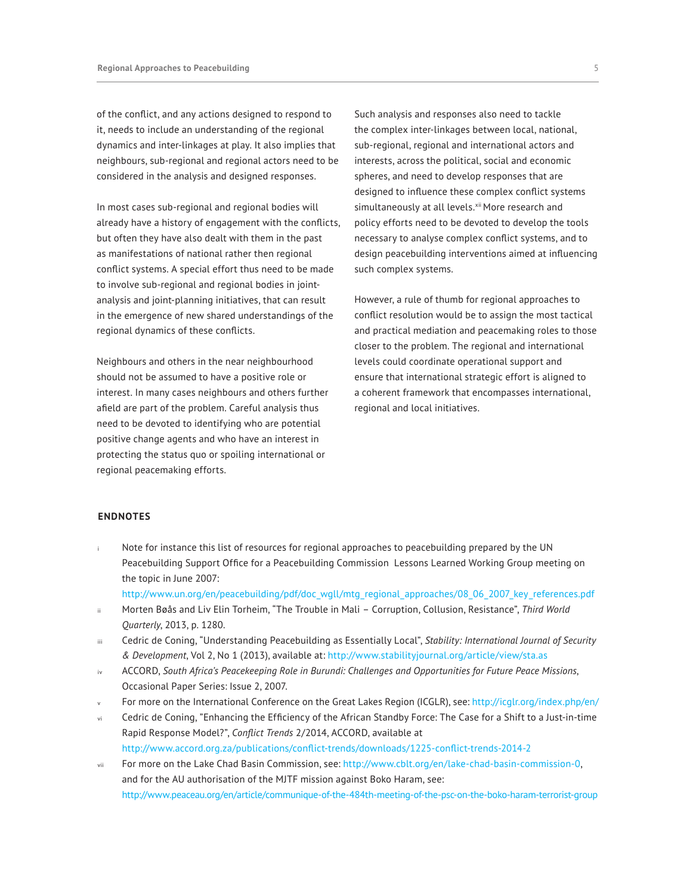of the conflict, and any actions designed to respond to it, needs to include an understanding of the regional dynamics and inter-linkages at play. It also implies that neighbours, sub-regional and regional actors need to be considered in the analysis and designed responses.

In most cases sub-regional and regional bodies will already have a history of engagement with the conflicts, but often they have also dealt with them in the past as manifestations of national rather then regional conflict systems. A special effort thus need to be made to involve sub-regional and regional bodies in jointanalysis and joint-planning initiatives, that can result in the emergence of new shared understandings of the regional dynamics of these conflicts.

Neighbours and others in the near neighbourhood should not be assumed to have a positive role or interest. In many cases neighbours and others further afield are part of the problem. Careful analysis thus need to be devoted to identifying who are potential positive change agents and who have an interest in protecting the status quo or spoiling international or regional peacemaking efforts.

Such analysis and responses also need to tackle the complex inter-linkages between local, national, sub-regional, regional and international actors and interests, across the political, social and economic spheres, and need to develop responses that are designed to influence these complex conflict systems simultaneously at all levels.<sup>xii</sup> More research and policy efforts need to be devoted to develop the tools necessary to analyse complex conflict systems, and to design peacebuilding interventions aimed at influencing such complex systems.

However, a rule of thumb for regional approaches to conflict resolution would be to assign the most tactical and practical mediation and peacemaking roles to those closer to the problem. The regional and international levels could coordinate operational support and ensure that international strategic effort is aligned to a coherent framework that encompasses international, regional and local initiatives.

## **ENDNOTES**

- Note for instance this list of resources for regional approaches to peacebuilding prepared by the UN Peacebuilding Support Office for a Peacebuilding Commission Lessons Learned Working Group meeting on the topic in June 2007:
- http://www.un.org/en/peacebuilding/pdf/doc\_wgll/mtg\_regional\_approaches/08\_06\_2007\_key\_references.pdf
- ii Morten Bøås and Liv Elin Torheim, "The Trouble in Mali Corruption, Collusion, Resistance", *Third World Quarterly*, 2013, p. 1280.
- iii Cedric de Coning, "Understanding Peacebuilding as Essentially Local", *Stability: International Journal of Security & Development*, Vol 2, No 1 (2013), available at: http://www.stabilityjournal.org/article/view/sta.as
- iv ACCORD, *South Africa's Peacekeeping Role in Burundi: Challenges and Opportunities for Future Peace Missions*, Occasional Paper Series: Issue 2, 2007.
- For more on the International Conference on the Great Lakes Region (ICGLR), see: http://icglr.org/index.php/en/
- Cedric de Coning, "Enhancing the Efficiency of the African Standby Force: The Case for a Shift to a Just-in-time Rapid Response Model?", *Conflict Trends* 2/2014, ACCORD, available at

http://www.accord.org.za/publications/conflict-trends/downloads/1225-conflict-trends-2014-2

vii For more on the Lake Chad Basin Commission, see: http://www.cblt.org/en/lake-chad-basin-commission-0, and for the AU authorisation of the MJTF mission against Boko Haram, see: http://www.peaceau.org/en/article/communique-of-the-484th-meeting-of-the-psc-on-the-boko-haram-terrorist-group